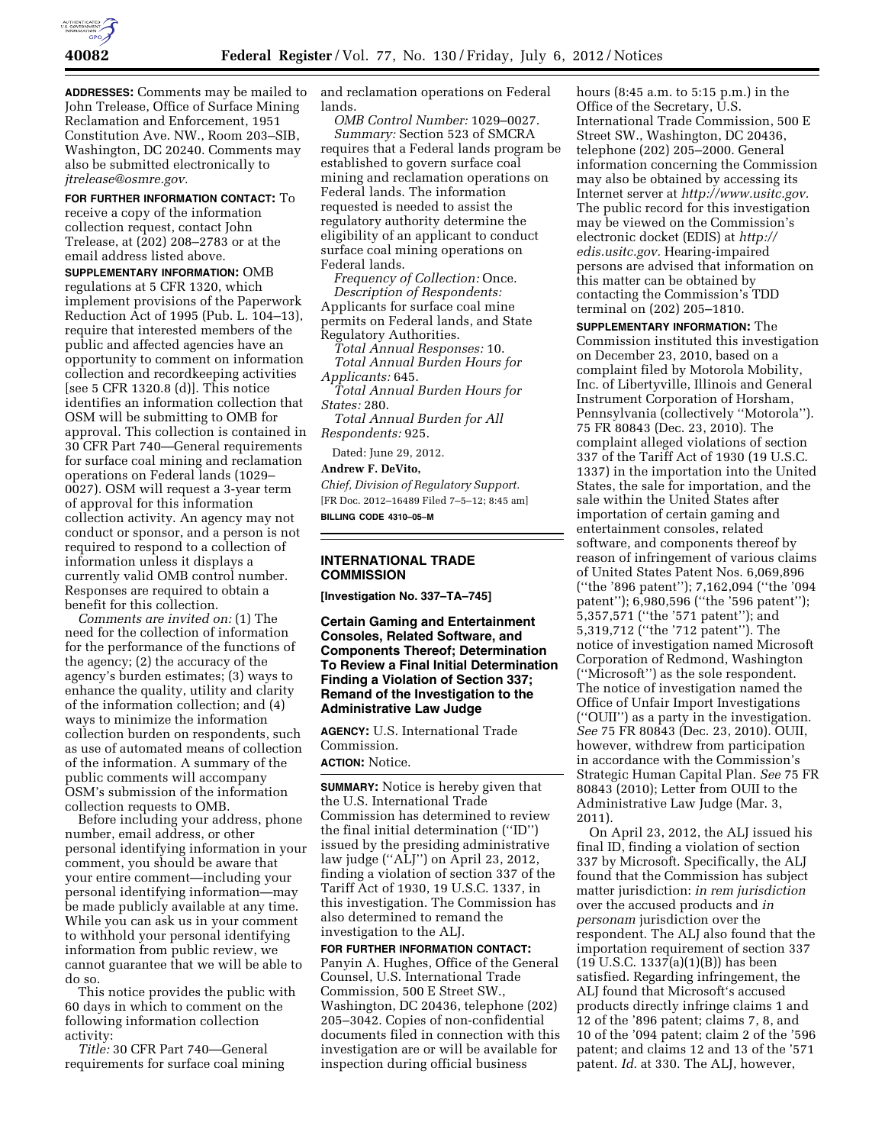

**ADDRESSES:** Comments may be mailed to John Trelease, Office of Surface Mining Reclamation and Enforcement, 1951 Constitution Ave. NW., Room 203–SIB, Washington, DC 20240. Comments may also be submitted electronically to *jtrelease@osmre.gov.* 

**FOR FURTHER INFORMATION CONTACT:** To receive a copy of the information collection request, contact John Trelease, at (202) 208–2783 or at the email address listed above.

**SUPPLEMENTARY INFORMATION:** OMB regulations at 5 CFR 1320, which implement provisions of the Paperwork Reduction Act of 1995 (Pub. L. 104–13), require that interested members of the public and affected agencies have an opportunity to comment on information collection and recordkeeping activities [see 5 CFR 1320.8 (d)]. This notice identifies an information collection that OSM will be submitting to OMB for approval. This collection is contained in 30 CFR Part 740—General requirements for surface coal mining and reclamation operations on Federal lands (1029– 0027). OSM will request a 3-year term of approval for this information collection activity. An agency may not conduct or sponsor, and a person is not required to respond to a collection of information unless it displays a currently valid OMB control number. Responses are required to obtain a benefit for this collection.

*Comments are invited on:* (1) The need for the collection of information for the performance of the functions of the agency; (2) the accuracy of the agency's burden estimates; (3) ways to enhance the quality, utility and clarity of the information collection; and (4) ways to minimize the information collection burden on respondents, such as use of automated means of collection of the information. A summary of the public comments will accompany OSM's submission of the information collection requests to OMB.

Before including your address, phone number, email address, or other personal identifying information in your comment, you should be aware that your entire comment—including your personal identifying information—may be made publicly available at any time. While you can ask us in your comment to withhold your personal identifying information from public review, we cannot guarantee that we will be able to do so.

This notice provides the public with 60 days in which to comment on the following information collection activity:

*Title:* 30 CFR Part 740—General requirements for surface coal mining and reclamation operations on Federal lands.

*OMB Control Number:* 1029–0027. *Summary:* Section 523 of SMCRA requires that a Federal lands program be established to govern surface coal mining and reclamation operations on Federal lands. The information requested is needed to assist the regulatory authority determine the eligibility of an applicant to conduct surface coal mining operations on Federal lands.

*Frequency of Collection:* Once. *Description of Respondents:*  Applicants for surface coal mine permits on Federal lands, and State Regulatory Authorities.

*Total Annual Responses:* 10. *Total Annual Burden Hours for Applicants:* 645.

*Total Annual Burden Hours for States:* 280.

*Total Annual Burden for All Respondents:* 925.

Dated: June 29, 2012.

**Andrew F. DeVito,** 

*Chief, Division of Regulatory Support.*  [FR Doc. 2012–16489 Filed 7–5–12; 8:45 am] **BILLING CODE 4310–05–M** 

## **INTERNATIONAL TRADE COMMISSION**

**[Investigation No. 337–TA–745]** 

**Certain Gaming and Entertainment Consoles, Related Software, and Components Thereof; Determination To Review a Final Initial Determination Finding a Violation of Section 337; Remand of the Investigation to the Administrative Law Judge** 

**AGENCY:** U.S. International Trade Commission. **ACTION:** Notice.

**SUMMARY:** Notice is hereby given that the U.S. International Trade Commission has determined to review the final initial determination (''ID'') issued by the presiding administrative law judge (''ALJ'') on April 23, 2012, finding a violation of section 337 of the Tariff Act of 1930, 19 U.S.C. 1337, in this investigation. The Commission has also determined to remand the investigation to the ALJ.

**FOR FURTHER INFORMATION CONTACT:**  Panyin A. Hughes, Office of the General Counsel, U.S. International Trade Commission, 500 E Street SW., Washington, DC 20436, telephone (202) 205–3042. Copies of non-confidential documents filed in connection with this investigation are or will be available for inspection during official business

hours (8:45 a.m. to 5:15 p.m.) in the Office of the Secretary, U.S. International Trade Commission, 500 E Street SW., Washington, DC 20436, telephone (202) 205–2000. General information concerning the Commission may also be obtained by accessing its Internet server at *[http://www.usitc.gov.](http://www.usitc.gov)*  The public record for this investigation may be viewed on the Commission's electronic docket (EDIS) at *[http://](http://edis.usitc.gov)  [edis.usitc.gov.](http://edis.usitc.gov)* Hearing-impaired persons are advised that information on this matter can be obtained by contacting the Commission's TDD terminal on (202) 205–1810.

**SUPPLEMENTARY INFORMATION:** The Commission instituted this investigation on December 23, 2010, based on a complaint filed by Motorola Mobility, Inc. of Libertyville, Illinois and General Instrument Corporation of Horsham, Pennsylvania (collectively ''Motorola''). 75 FR 80843 (Dec. 23, 2010). The complaint alleged violations of section 337 of the Tariff Act of 1930 (19 U.S.C. 1337) in the importation into the United States, the sale for importation, and the sale within the United States after importation of certain gaming and entertainment consoles, related software, and components thereof by reason of infringement of various claims of United States Patent Nos. 6,069,896 (''the '896 patent''); 7,162,094 (''the '094 patent''); 6,980,596 (''the '596 patent''); 5,357,571 (''the '571 patent''); and 5,319,712 (''the '712 patent''). The notice of investigation named Microsoft Corporation of Redmond, Washington (''Microsoft'') as the sole respondent. The notice of investigation named the Office of Unfair Import Investigations (''OUII'') as a party in the investigation. *See* 75 FR 80843 (Dec. 23, 2010). OUII, however, withdrew from participation in accordance with the Commission's Strategic Human Capital Plan. *See* 75 FR 80843 (2010); Letter from OUII to the Administrative Law Judge (Mar. 3, 2011).

On April 23, 2012, the ALJ issued his final ID, finding a violation of section 337 by Microsoft. Specifically, the ALJ found that the Commission has subject matter jurisdiction: *in rem jurisdiction*  over the accused products and *in personam* jurisdiction over the respondent. The ALJ also found that the importation requirement of section 337 (19 U.S.C. 1337(a)(1)(B)) has been satisfied. Regarding infringement, the ALJ found that Microsoft's accused products directly infringe claims 1 and 12 of the '896 patent; claims 7, 8, and 10 of the '094 patent; claim 2 of the '596 patent; and claims 12 and 13 of the '571 patent. *Id.* at 330. The ALJ, however,